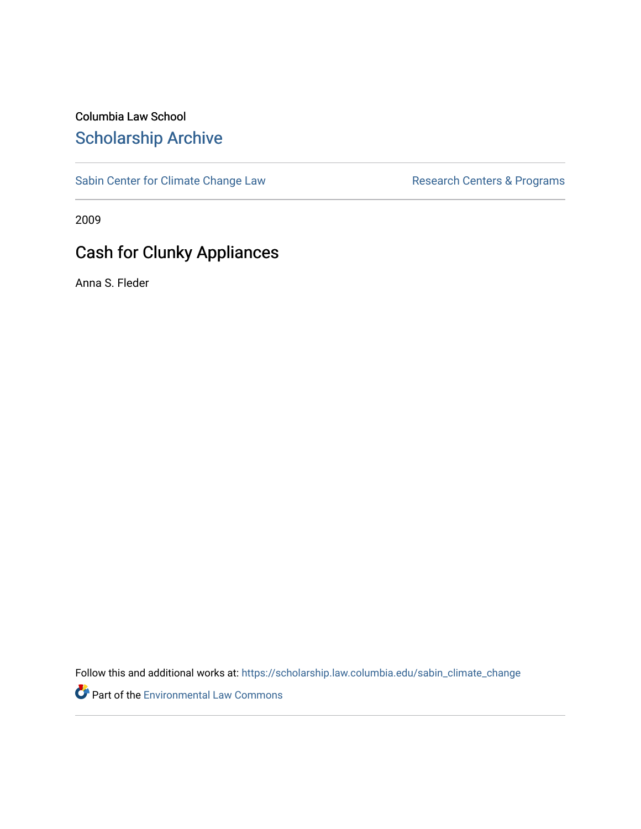# Columbia Law School [Scholarship Archive](https://scholarship.law.columbia.edu/)

[Sabin Center for Climate Change Law](https://scholarship.law.columbia.edu/sabin_climate_change) Research Centers & Programs

2009

# Cash for Clunky Appliances

Anna S. Fleder

Follow this and additional works at: [https://scholarship.law.columbia.edu/sabin\\_climate\\_change](https://scholarship.law.columbia.edu/sabin_climate_change?utm_source=scholarship.law.columbia.edu%2Fsabin_climate_change%2F181&utm_medium=PDF&utm_campaign=PDFCoverPages) 

**P** Part of the [Environmental Law Commons](http://network.bepress.com/hgg/discipline/599?utm_source=scholarship.law.columbia.edu%2Fsabin_climate_change%2F181&utm_medium=PDF&utm_campaign=PDFCoverPages)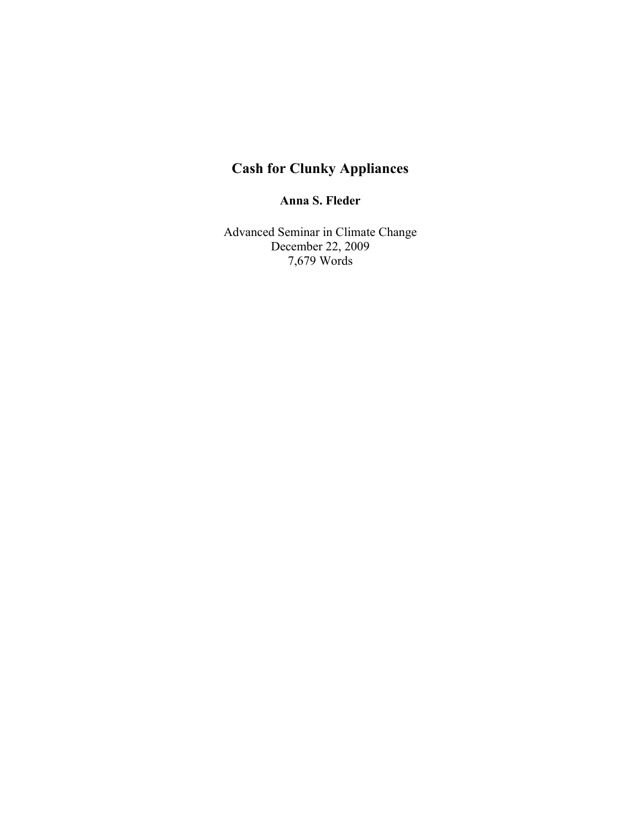# **Cash for Clunky Appliances**

**Anna S. Fleder**

Advanced Seminar in Climate Change December 22, 2009 7,679 Words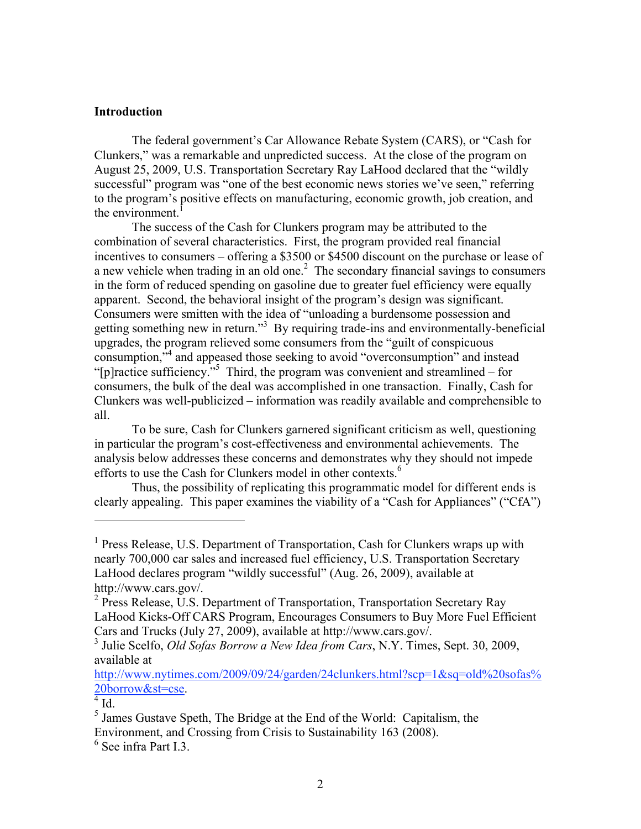#### **Introduction**

The federal government's Car Allowance Rebate System (CARS), or "Cash for Clunkers," was a remarkable and unpredicted success. At the close of the program on August 25, 2009, U.S. Transportation Secretary Ray LaHood declared that the "wildly successful" program was "one of the best economic news stories we've seen," referring to the program's positive effects on manufacturing, economic growth, job creation, and the environment.<sup>1</sup>

The success of the Cash for Clunkers program may be attributed to the combination of several characteristics. First, the program provided real financial incentives to consumers – offering a \$3500 or \$4500 discount on the purchase or lease of a new vehicle when trading in an old one.<sup>2</sup> The secondary financial savings to consumers in the form of reduced spending on gasoline due to greater fuel efficiency were equally apparent. Second, the behavioral insight of the program's design was significant. Consumers were smitten with the idea of "unloading a burdensome possession and getting something new in return."<sup>3</sup> By requiring trade-ins and environmentally-beneficial upgrades, the program relieved some consumers from the "guilt of conspicuous consumption,<sup>34</sup> and appeased those seeking to avoid "overconsumption" and instead "[p]ractice sufficiency."<sup>5</sup> Third, the program was convenient and streamlined – for consumers, the bulk of the deal was accomplished in one transaction. Finally, Cash for Clunkers was well-publicized – information was readily available and comprehensible to all.

To be sure, Cash for Clunkers garnered significant criticism as well, questioning in particular the program's cost-effectiveness and environmental achievements. The analysis below addresses these concerns and demonstrates why they should not impede efforts to use the Cash for Clunkers model in other contexts.<sup>6</sup>

Thus, the possibility of replicating this programmatic model for different ends is clearly appealing. This paper examines the viability of a "Cash for Appliances" ("CfA")

http://www.nytimes.com/2009/09/24/garden/24clunkers.html?scp=1&sq=old%20sofas% 20borrow&st=cse.

<sup>&</sup>lt;sup>1</sup> Press Release, U.S. Department of Transportation, Cash for Clunkers wraps up with nearly 700,000 car sales and increased fuel efficiency, U.S. Transportation Secretary LaHood declares program "wildly successful" (Aug. 26, 2009), available at http://www.cars.gov/. <sup>2</sup>

 $^{2}$  Press Release, U.S. Department of Transportation, Transportation Secretary Ray LaHood Kicks-Off CARS Program, Encourages Consumers to Buy More Fuel Efficient Cars and Trucks (July 27, 2009), available at http://www.cars.gov/.

<sup>&</sup>lt;sup>3</sup> Julie Scelfo, *Old Sofas Borrow a New Idea from Cars*, N.Y. Times, Sept. 30, 2009, available at

 $\overline{4}$ Id.

 $<sup>5</sup>$  James Gustave Speth, The Bridge at the End of the World: Capitalism, the</sup> Environment, and Crossing from Crisis to Sustainability 163 (2008).

<sup>6</sup> See infra Part I.3.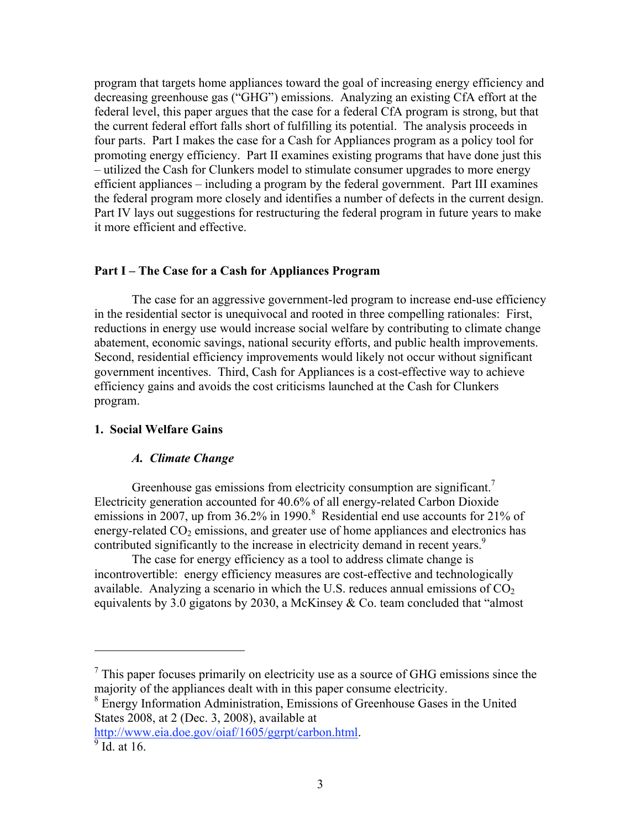program that targets home appliances toward the goal of increasing energy efficiency and decreasing greenhouse gas ("GHG") emissions. Analyzing an existing CfA effort at the federal level, this paper argues that the case for a federal CfA program is strong, but that the current federal effort falls short of fulfilling its potential. The analysis proceeds in four parts. Part I makes the case for a Cash for Appliances program as a policy tool for promoting energy efficiency. Part II examines existing programs that have done just this – utilized the Cash for Clunkers model to stimulate consumer upgrades to more energy efficient appliances – including a program by the federal government. Part III examines the federal program more closely and identifies a number of defects in the current design. Part IV lays out suggestions for restructuring the federal program in future years to make it more efficient and effective.

#### **Part I – The Case for a Cash for Appliances Program**

The case for an aggressive government-led program to increase end-use efficiency in the residential sector is unequivocal and rooted in three compelling rationales: First, reductions in energy use would increase social welfare by contributing to climate change abatement, economic savings, national security efforts, and public health improvements. Second, residential efficiency improvements would likely not occur without significant government incentives. Third, Cash for Appliances is a cost-effective way to achieve efficiency gains and avoids the cost criticisms launched at the Cash for Clunkers program.

## **1. Social Welfare Gains**

#### *A. Climate Change*

Greenhouse gas emissions from electricity consumption are significant.<sup>7</sup> Electricity generation accounted for 40.6% of all energy-related Carbon Dioxide emissions in 2007, up from 36.2% in 1990.<sup>8</sup> Residential end use accounts for 21% of energy-related  $CO<sub>2</sub>$  emissions, and greater use of home appliances and electronics has contributed significantly to the increase in electricity demand in recent years.<sup>9</sup>

The case for energy efficiency as a tool to address climate change is incontrovertible: energy efficiency measures are cost-effective and technologically available. Analyzing a scenario in which the U.S. reduces annual emissions of  $CO<sub>2</sub>$ equivalents by 3.0 gigatons by 2030, a McKinsey & Co. team concluded that "almost

<sup>8</sup> Energy Information Administration, Emissions of Greenhouse Gases in the United States 2008, at 2 (Dec. 3, 2008), available at

http://www.eia.doe.gov/oiaf/1605/ggrpt/carbon.html.

 $<sup>7</sup>$  This paper focuses primarily on electricity use as a source of GHG emissions since the</sup> majority of the appliances dealt with in this paper consume electricity.

 $\overline{9}$ Id. at 16.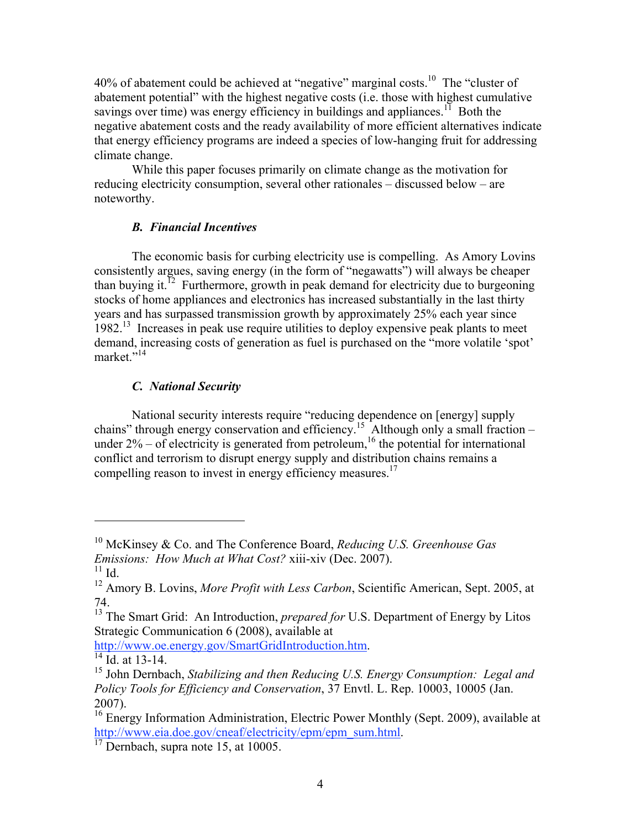40% of abatement could be achieved at "negative" marginal costs.<sup>10</sup> The "cluster of abatement potential" with the highest negative costs (i.e. those with highest cumulative savings over time) was energy efficiency in buildings and appliances.<sup>11</sup> Both the negative abatement costs and the ready availability of more efficient alternatives indicate that energy efficiency programs are indeed a species of low-hanging fruit for addressing climate change.

While this paper focuses primarily on climate change as the motivation for reducing electricity consumption, several other rationales – discussed below – are noteworthy.

# *B. Financial Incentives*

The economic basis for curbing electricity use is compelling. As Amory Lovins consistently argues, saving energy (in the form of "negawatts") will always be cheaper than buying it.<sup>12</sup> Furthermore, growth in peak demand for electricity due to burgeoning stocks of home appliances and electronics has increased substantially in the last thirty years and has surpassed transmission growth by approximately 25% each year since 1982.<sup>13</sup> Increases in peak use require utilities to deploy expensive peak plants to meet demand, increasing costs of generation as fuel is purchased on the "more volatile 'spot' market<sup>"14</sup>

# *C. National Security*

National security interests require "reducing dependence on [energy] supply chains" through energy conservation and efficiency.<sup>15</sup> Although only a small fraction – under  $2\%$  – of electricity is generated from petroleum,<sup>16</sup> the potential for international conflict and terrorism to disrupt energy supply and distribution chains remains a compelling reason to invest in energy efficiency measures.<sup>17</sup>

 $\overline{a}$ 

http://www.oe.energy.gov/SmartGridIntroduction.htm. 14 Id. at 13-14.

<sup>10</sup> McKinsey & Co. and The Conference Board, *Reducing U.S. Greenhouse Gas Emissions: How Much at What Cost?* xiii-xiv (Dec. 2007).

 $11$  Id.

<sup>&</sup>lt;sup>12</sup> Amory B. Lovins, *More Profit with Less Carbon*, Scientific American, Sept. 2005, at 74.

<sup>&</sup>lt;sup>13</sup> The Smart Grid: An Introduction, *prepared for* U.S. Department of Energy by Litos Strategic Communication 6 (2008), available at

<sup>15</sup> John Dernbach, *Stabilizing and then Reducing U.S. Energy Consumption: Legal and Policy Tools for Efficiency and Conservation*, 37 Envtl. L. Rep. 10003, 10005 (Jan. 2007).

<sup>&</sup>lt;sup>16</sup> Energy Information Administration, Electric Power Monthly (Sept. 2009), available at http://www.eia.doe.gov/cneaf/electricity/epm/epm\_sum.html.<br><sup>17</sup> Dernbach, supra note 15, at 10005.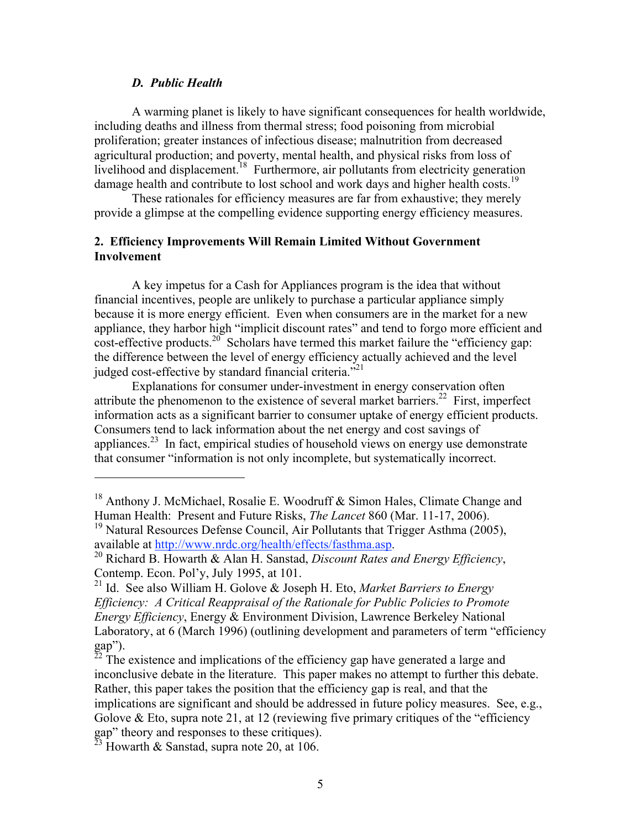#### *D. Public Health*

 $\overline{a}$ 

A warming planet is likely to have significant consequences for health worldwide, including deaths and illness from thermal stress; food poisoning from microbial proliferation; greater instances of infectious disease; malnutrition from decreased agricultural production; and poverty, mental health, and physical risks from loss of livelihood and displacement.<sup>18</sup> Furthermore, air pollutants from electricity generation damage health and contribute to lost school and work days and higher health costs.<sup>19</sup>

These rationales for efficiency measures are far from exhaustive; they merely provide a glimpse at the compelling evidence supporting energy efficiency measures.

## **2. Efficiency Improvements Will Remain Limited Without Government Involvement**

A key impetus for a Cash for Appliances program is the idea that without financial incentives, people are unlikely to purchase a particular appliance simply because it is more energy efficient. Even when consumers are in the market for a new appliance, they harbor high "implicit discount rates" and tend to forgo more efficient and  $\cot$ -effective products.<sup>20</sup> Scholars have termed this market failure the "efficiency gap: the difference between the level of energy efficiency actually achieved and the level judged cost-effective by standard financial criteria."<sup>21</sup>

Explanations for consumer under-investment in energy conservation often attribute the phenomenon to the existence of several market barriers.<sup>22</sup> First, imperfect information acts as a significant barrier to consumer uptake of energy efficient products. Consumers tend to lack information about the net energy and cost savings of appliances.<sup>23</sup> In fact, empirical studies of household views on energy use demonstrate that consumer "information is not only incomplete, but systematically incorrect.

<sup>&</sup>lt;sup>18</sup> Anthony J. McMichael, Rosalie E. Woodruff & Simon Hales, Climate Change and Human Health: Present and Future Risks, *The Lancet* 860 (Mar. 11-17, 2006). <sup>19</sup> Natural Resources Defense Council, Air Pollutants that Trigger Asthma (2005),

available at http://www.nrdc.org/health/effects/fasthma.asp. 20 Richard B. Howarth & Alan H. Sanstad, *Discount Rates and Energy Efficiency*,

Contemp. Econ. Pol'y, July 1995, at 101.

<sup>21</sup> Id. See also William H. Golove & Joseph H. Eto, *Market Barriers to Energy Efficiency: A Critical Reappraisal of the Rationale for Public Policies to Promote Energy Efficiency*, Energy & Environment Division, Lawrence Berkeley National Laboratory, at 6 (March 1996) (outlining development and parameters of term "efficiency gap").

 $^{\overline{22}}$  The existence and implications of the efficiency gap have generated a large and inconclusive debate in the literature. This paper makes no attempt to further this debate. Rather, this paper takes the position that the efficiency gap is real, and that the implications are significant and should be addressed in future policy measures. See, e.g., Golove  $\&$  Eto, supra note 21, at 12 (reviewing five primary critiques of the "efficiency" gap" theory and responses to these critiques).

 $^{\overline{23}}$  Howarth & Sanstad, supra note 20, at 106.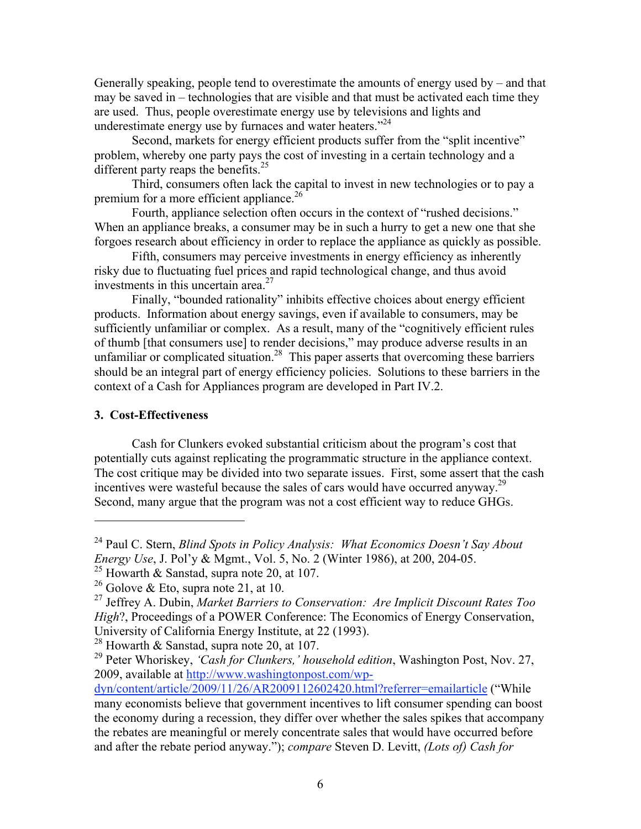Generally speaking, people tend to overestimate the amounts of energy used by – and that may be saved in – technologies that are visible and that must be activated each time they are used. Thus, people overestimate energy use by televisions and lights and underestimate energy use by furnaces and water heaters. $124$ 

Second, markets for energy efficient products suffer from the "split incentive" problem, whereby one party pays the cost of investing in a certain technology and a different party reaps the benefits. $25$ 

Third, consumers often lack the capital to invest in new technologies or to pay a premium for a more efficient appliance.<sup>26</sup>

Fourth, appliance selection often occurs in the context of "rushed decisions." When an appliance breaks, a consumer may be in such a hurry to get a new one that she forgoes research about efficiency in order to replace the appliance as quickly as possible.

Fifth, consumers may perceive investments in energy efficiency as inherently risky due to fluctuating fuel prices and rapid technological change, and thus avoid investments in this uncertain area $27$ 

Finally, "bounded rationality" inhibits effective choices about energy efficient products. Information about energy savings, even if available to consumers, may be sufficiently unfamiliar or complex. As a result, many of the "cognitively efficient rules of thumb [that consumers use] to render decisions," may produce adverse results in an unfamiliar or complicated situation.<sup>28</sup> This paper asserts that overcoming these barriers should be an integral part of energy efficiency policies. Solutions to these barriers in the context of a Cash for Appliances program are developed in Part IV.2.

## **3. Cost-Effectiveness**

 $\overline{a}$ 

Cash for Clunkers evoked substantial criticism about the program's cost that potentially cuts against replicating the programmatic structure in the appliance context. The cost critique may be divided into two separate issues. First, some assert that the cash incentives were wasteful because the sales of cars would have occurred anyway.<sup>29</sup> Second, many argue that the program was not a cost efficient way to reduce GHGs.

<sup>24</sup> Paul C. Stern, *Blind Spots in Policy Analysis: What Economics Doesn't Say About Energy Use*, J. Pol'y & Mgmt., Vol. 5, No. 2 (Winter 1986), at 200, 204-05.

<sup>&</sup>lt;sup>25</sup> Howarth & Sanstad, supra note 20, at 107.

<sup>&</sup>lt;sup>26</sup> Golove & Eto, supra note 21, at 10.

<sup>27</sup> Jeffrey A. Dubin, *Market Barriers to Conservation: Are Implicit Discount Rates Too High*?, Proceedings of a POWER Conference: The Economics of Energy Conservation, University of California Energy Institute, at 22 (1993).

 $28$  Howarth & Sanstad, supra note 20, at 107.

<sup>29</sup> Peter Whoriskey, *'Cash for Clunkers,' household edition*, Washington Post, Nov. 27, 2009, available at http://www.washingtonpost.com/wp-

dyn/content/article/2009/11/26/AR2009112602420.html?referrer=emailarticle ("While many economists believe that government incentives to lift consumer spending can boost the economy during a recession, they differ over whether the sales spikes that accompany the rebates are meaningful or merely concentrate sales that would have occurred before and after the rebate period anyway."); *compare* Steven D. Levitt, *(Lots of) Cash for*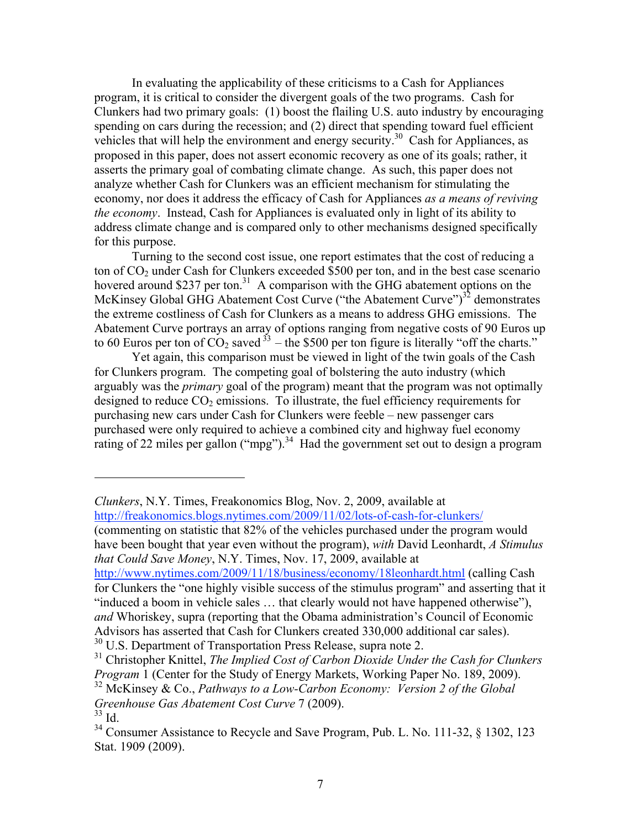In evaluating the applicability of these criticisms to a Cash for Appliances program, it is critical to consider the divergent goals of the two programs. Cash for Clunkers had two primary goals: (1) boost the flailing U.S. auto industry by encouraging spending on cars during the recession; and (2) direct that spending toward fuel efficient vehicles that will help the environment and energy security.30 Cash for Appliances, as proposed in this paper, does not assert economic recovery as one of its goals; rather, it asserts the primary goal of combating climate change. As such, this paper does not analyze whether Cash for Clunkers was an efficient mechanism for stimulating the economy, nor does it address the efficacy of Cash for Appliances *as a means of reviving the economy*. Instead, Cash for Appliances is evaluated only in light of its ability to address climate change and is compared only to other mechanisms designed specifically for this purpose.

Turning to the second cost issue, one report estimates that the cost of reducing a ton of  $CO<sub>2</sub>$  under Cash for Clunkers exceeded \$500 per ton, and in the best case scenario hovered around \$237 per ton.<sup>31</sup> A comparison with the GHG abatement options on the McKinsey Global GHG Abatement Cost Curve ("the Abatement Curve") $^{32}$  demonstrates the extreme costliness of Cash for Clunkers as a means to address GHG emissions. The Abatement Curve portrays an array of options ranging from negative costs of 90 Euros up to 60 Euros per ton of  $CO_2$  saved  $33$  – the \$500 per ton figure is literally "off the charts."

Yet again, this comparison must be viewed in light of the twin goals of the Cash for Clunkers program. The competing goal of bolstering the auto industry (which arguably was the *primary* goal of the program) meant that the program was not optimally designed to reduce  $CO<sub>2</sub>$  emissions. To illustrate, the fuel efficiency requirements for purchasing new cars under Cash for Clunkers were feeble – new passenger cars purchased were only required to achieve a combined city and highway fuel economy rating of 22 miles per gallon ("mpg").<sup>34</sup> Had the government set out to design a program

*Clunkers*, N.Y. Times, Freakonomics Blog, Nov. 2, 2009, available at http://freakonomics.blogs.nytimes.com/2009/11/02/lots-of-cash-for-clunkers/ (commenting on statistic that 82% of the vehicles purchased under the program would

have been bought that year even without the program), *with* David Leonhardt, *A Stimulus that Could Save Money*, N.Y. Times, Nov. 17, 2009, available at

http://www.nytimes.com/2009/11/18/business/economy/18leonhardt.html (calling Cash for Clunkers the "one highly visible success of the stimulus program" and asserting that it "induced a boom in vehicle sales … that clearly would not have happened otherwise"), *and* Whoriskey, supra (reporting that the Obama administration's Council of Economic Advisors has asserted that Cash for Clunkers created 330,000 additional car sales).

<sup>30</sup> U.S. Department of Transportation Press Release, supra note 2.

31 Christopher Knittel, *The Implied Cost of Carbon Dioxide Under the Cash for Clunkers Program* 1 (Center for the Study of Energy Markets, Working Paper No. 189, 2009). 32 McKinsey & Co., *Pathways to a Low-Carbon Economy: Version 2 of the Global Greenhouse Gas Abatement Cost Curve* 7 (2009).

 $33$  Id.

 $34$  Consumer Assistance to Recycle and Save Program, Pub. L. No. 111-32,  $\&$  1302, 123 Stat. 1909 (2009).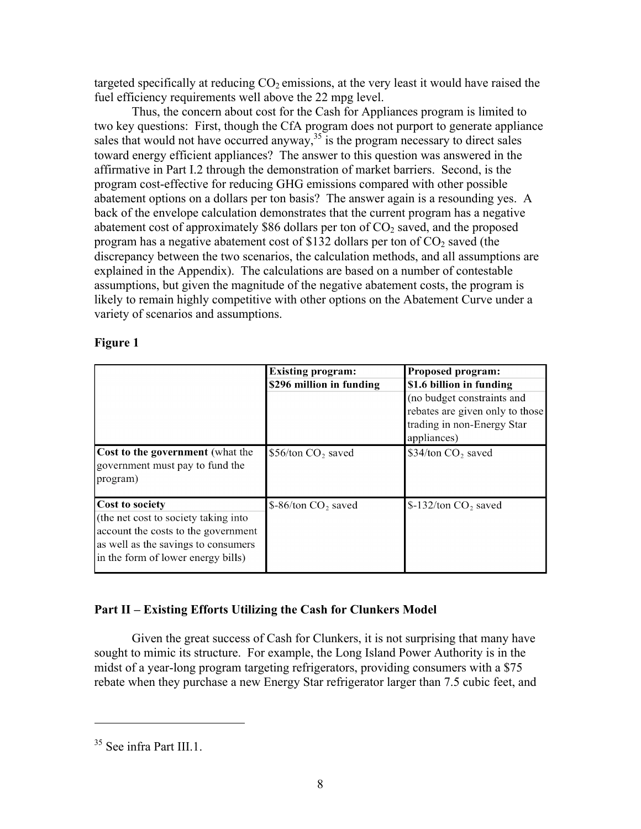targeted specifically at reducing  $CO<sub>2</sub>$  emissions, at the very least it would have raised the fuel efficiency requirements well above the 22 mpg level.

Thus, the concern about cost for the Cash for Appliances program is limited to two key questions: First, though the CfA program does not purport to generate appliance sales that would not have occurred anyway,  $35$  is the program necessary to direct sales toward energy efficient appliances? The answer to this question was answered in the affirmative in Part I.2 through the demonstration of market barriers. Second, is the program cost-effective for reducing GHG emissions compared with other possible abatement options on a dollars per ton basis? The answer again is a resounding yes. A back of the envelope calculation demonstrates that the current program has a negative abatement cost of approximately \$86 dollars per ton of  $CO<sub>2</sub>$  saved, and the proposed program has a negative abatement cost of \$132 dollars per ton of  $CO<sub>2</sub>$  saved (the discrepancy between the two scenarios, the calculation methods, and all assumptions are explained in the Appendix). The calculations are based on a number of contestable assumptions, but given the magnitude of the negative abatement costs, the program is likely to remain highly competitive with other options on the Abatement Curve under a variety of scenarios and assumptions.

|                                                                                                                                                                             | <b>Existing program:</b>       | Proposed program:               |
|-----------------------------------------------------------------------------------------------------------------------------------------------------------------------------|--------------------------------|---------------------------------|
|                                                                                                                                                                             | \$296 million in funding       | \$1.6 billion in funding        |
|                                                                                                                                                                             |                                | (no budget constraints and      |
|                                                                                                                                                                             |                                | rebates are given only to those |
|                                                                                                                                                                             |                                | trading in non-Energy Star      |
|                                                                                                                                                                             |                                | appliances)                     |
| <b>Cost to the government</b> (what the<br>government must pay to fund the<br>program)                                                                                      | \$56/ton CO <sub>2</sub> saved | \$34/ton CO <sub>2</sub> saved  |
| Cost to society<br>(the net cost to society taking into<br>account the costs to the government<br>as well as the savings to consumers<br>in the form of lower energy bills) | $$-86/ton CO2 saved$           | $$-132/ton CO$ , saved          |

## **Figure 1**

## **Part II – Existing Efforts Utilizing the Cash for Clunkers Model**

Given the great success of Cash for Clunkers, it is not surprising that many have sought to mimic its structure. For example, the Long Island Power Authority is in the midst of a year-long program targeting refrigerators, providing consumers with a \$75 rebate when they purchase a new Energy Star refrigerator larger than 7.5 cubic feet, and

<sup>&</sup>lt;sup>35</sup> See infra Part III.1.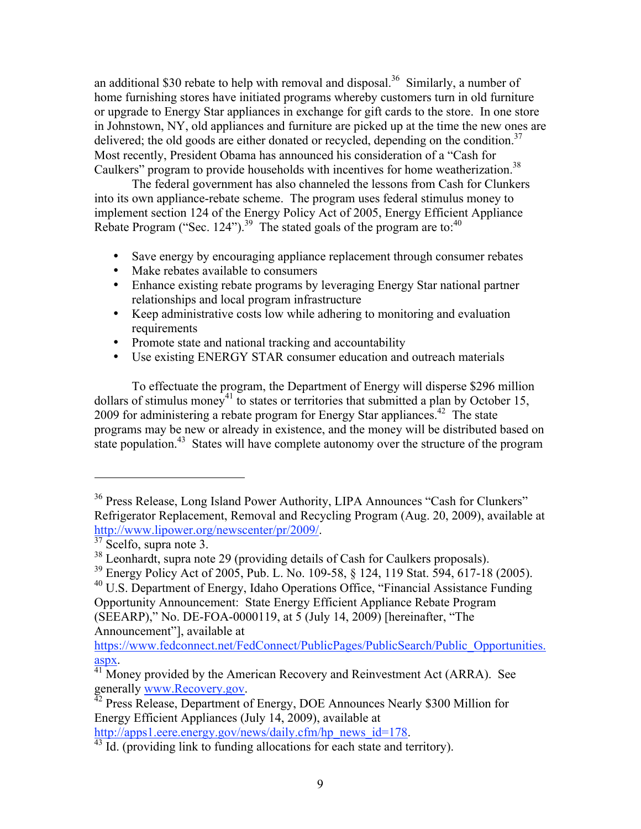an additional \$30 rebate to help with removal and disposal.<sup>36</sup> Similarly, a number of home furnishing stores have initiated programs whereby customers turn in old furniture or upgrade to Energy Star appliances in exchange for gift cards to the store. In one store in Johnstown, NY, old appliances and furniture are picked up at the time the new ones are delivered; the old goods are either donated or recycled, depending on the condition.<sup>37</sup> Most recently, President Obama has announced his consideration of a "Cash for Caulkers" program to provide households with incentives for home weatherization.<sup>38</sup>

The federal government has also channeled the lessons from Cash for Clunkers into its own appliance-rebate scheme. The program uses federal stimulus money to implement section 124 of the Energy Policy Act of 2005, Energy Efficient Appliance Rebate Program ("Sec. 124").<sup>39</sup> The stated goals of the program are to:<sup>40</sup>

- Save energy by encouraging appliance replacement through consumer rebates
- Make rebates available to consumers
- Enhance existing rebate programs by leveraging Energy Star national partner relationships and local program infrastructure
- Keep administrative costs low while adhering to monitoring and evaluation requirements
- Promote state and national tracking and accountability
- Use existing ENERGY STAR consumer education and outreach materials

To effectuate the program, the Department of Energy will disperse \$296 million dollars of stimulus money<sup>41</sup> to states or territories that submitted a plan by October 15, 2009 for administering a rebate program for Energy Star appliances.<sup>42</sup> The state programs may be new or already in existence, and the money will be distributed based on state population.<sup>43</sup> States will have complete autonomy over the structure of the program

<sup>&</sup>lt;sup>36</sup> Press Release, Long Island Power Authority, LIPA Announces "Cash for Clunkers" Refrigerator Replacement, Removal and Recycling Program (Aug. 20, 2009), available at http://www.lipower.org/newscenter/pr/2009/.<br><sup>37</sup> Scelfo, supra note 3.

<sup>&</sup>lt;sup>38</sup> Leonhardt, supra note 29 (providing details of Cash for Caulkers proposals).

<sup>&</sup>lt;sup>39</sup> Energy Policy Act of 2005, Pub. L. No. 109-58, § 124, 119 Stat. 594, 617-18 (2005).

<sup>&</sup>lt;sup>40</sup> U.S. Department of Energy, Idaho Operations Office, "Financial Assistance Funding Opportunity Announcement: State Energy Efficient Appliance Rebate Program (SEEARP)," No. DE-FOA-0000119, at 5 (July 14, 2009) [hereinafter, "The Announcement"], available at

https://www.fedconnect.net/FedConnect/PublicPages/PublicSearch/Public\_Opportunities.

aspx.<br><sup>41</sup> Money provided by the American Recovery and Reinvestment Act (ARRA). See generally www.Recovery.gov.<br><sup>42</sup> Press Release, Department of Energy, DOE Announces Nearly \$300 Million for

Energy Efficient Appliances (July 14, 2009), available at http://apps1.eere.energy.gov/news/daily.cfm/hp news id=178.

 $\frac{43 \text{ Id.}}{43 \text{ Id.}}$  (providing link to funding allocations for each state and territory).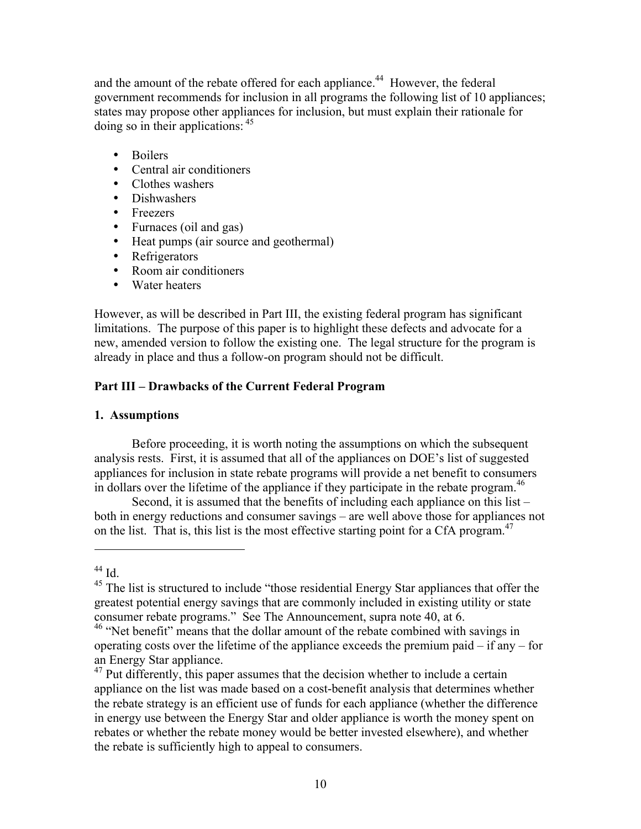and the amount of the rebate offered for each appliance.<sup>44</sup> However, the federal government recommends for inclusion in all programs the following list of 10 appliances; states may propose other appliances for inclusion, but must explain their rationale for doing so in their applications:  $45$ 

- Boilers
- Central air conditioners
- Clothes washers
- Dishwashers
- Freezers
- Furnaces (oil and gas)
- Heat pumps (air source and geothermal)
- Refrigerators
- Room air conditioners
- Water heaters

However, as will be described in Part III, the existing federal program has significant limitations. The purpose of this paper is to highlight these defects and advocate for a new, amended version to follow the existing one. The legal structure for the program is already in place and thus a follow-on program should not be difficult.

## **Part III – Drawbacks of the Current Federal Program**

## **1. Assumptions**

Before proceeding, it is worth noting the assumptions on which the subsequent analysis rests. First, it is assumed that all of the appliances on DOE's list of suggested appliances for inclusion in state rebate programs will provide a net benefit to consumers in dollars over the lifetime of the appliance if they participate in the rebate program.<sup>46</sup>

Second, it is assumed that the benefits of including each appliance on this list – both in energy reductions and consumer savings – are well above those for appliances not on the list. That is, this list is the most effective starting point for a CfA program.<sup>47</sup>

 $44$  Id.

 $45$  The list is structured to include "those residential Energy Star appliances that offer the greatest potential energy savings that are commonly included in existing utility or state consumer rebate programs." See The Announcement, supra note 40, at 6.

<sup>&</sup>lt;sup>46</sup> "Net benefit" means that the dollar amount of the rebate combined with savings in operating costs over the lifetime of the appliance exceeds the premium paid  $-$  if any  $-$  for an Energy Star appliance.

 $47$  Put differently, this paper assumes that the decision whether to include a certain appliance on the list was made based on a cost-benefit analysis that determines whether the rebate strategy is an efficient use of funds for each appliance (whether the difference in energy use between the Energy Star and older appliance is worth the money spent on rebates or whether the rebate money would be better invested elsewhere), and whether the rebate is sufficiently high to appeal to consumers.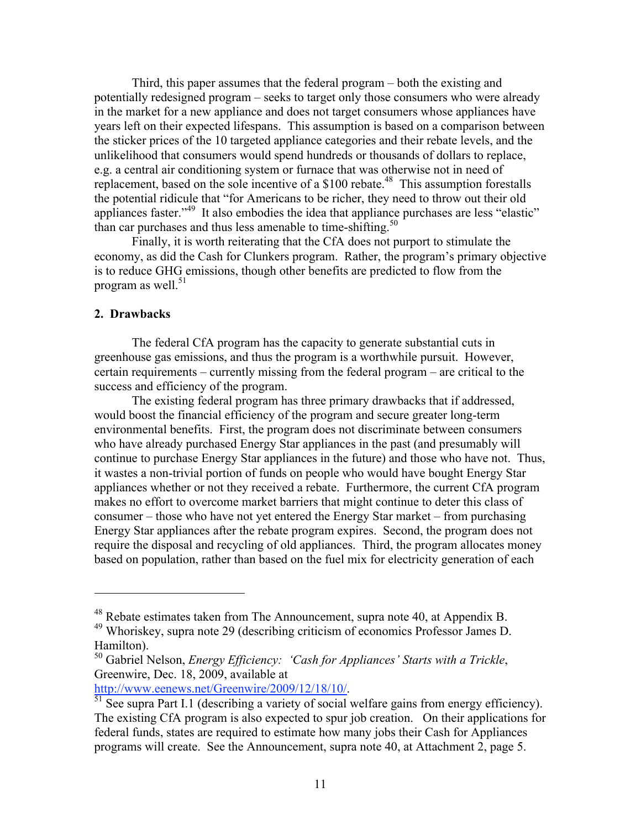Third, this paper assumes that the federal program – both the existing and potentially redesigned program – seeks to target only those consumers who were already in the market for a new appliance and does not target consumers whose appliances have years left on their expected lifespans. This assumption is based on a comparison between the sticker prices of the 10 targeted appliance categories and their rebate levels, and the unlikelihood that consumers would spend hundreds or thousands of dollars to replace, e.g. a central air conditioning system or furnace that was otherwise not in need of replacement, based on the sole incentive of a  $$100$  rebate.<sup>48</sup> This assumption forestalls the potential ridicule that "for Americans to be richer, they need to throw out their old appliances faster."49 It also embodies the idea that appliance purchases are less "elastic" than car purchases and thus less amenable to time-shifting.<sup>50</sup>

Finally, it is worth reiterating that the CfA does not purport to stimulate the economy, as did the Cash for Clunkers program. Rather, the program's primary objective is to reduce GHG emissions, though other benefits are predicted to flow from the program as well. $51$ 

## **2. Drawbacks**

 $\overline{a}$ 

The federal CfA program has the capacity to generate substantial cuts in greenhouse gas emissions, and thus the program is a worthwhile pursuit. However, certain requirements – currently missing from the federal program – are critical to the success and efficiency of the program.

The existing federal program has three primary drawbacks that if addressed, would boost the financial efficiency of the program and secure greater long-term environmental benefits. First, the program does not discriminate between consumers who have already purchased Energy Star appliances in the past (and presumably will continue to purchase Energy Star appliances in the future) and those who have not. Thus, it wastes a non-trivial portion of funds on people who would have bought Energy Star appliances whether or not they received a rebate. Furthermore, the current CfA program makes no effort to overcome market barriers that might continue to deter this class of consumer – those who have not yet entered the Energy Star market – from purchasing Energy Star appliances after the rebate program expires. Second, the program does not require the disposal and recycling of old appliances. Third, the program allocates money based on population, rather than based on the fuel mix for electricity generation of each

<sup>48</sup> Rebate estimates taken from The Announcement, supra note 40, at Appendix B.

<sup>49</sup> Whoriskey, supra note 29 (describing criticism of economics Professor James D. Hamilton).

<sup>50</sup> Gabriel Nelson, *Energy Efficiency: 'Cash for Appliances' Starts with a Trickle*, Greenwire, Dec. 18, 2009, available at

http://www.eenews.net/Greenwire/2009/12/18/10/.<br><sup>51</sup> See supra Part I.1 (describing a variety of social welfare gains from energy efficiency). The existing CfA program is also expected to spur job creation. On their applications for federal funds, states are required to estimate how many jobs their Cash for Appliances programs will create. See the Announcement, supra note 40, at Attachment 2, page 5.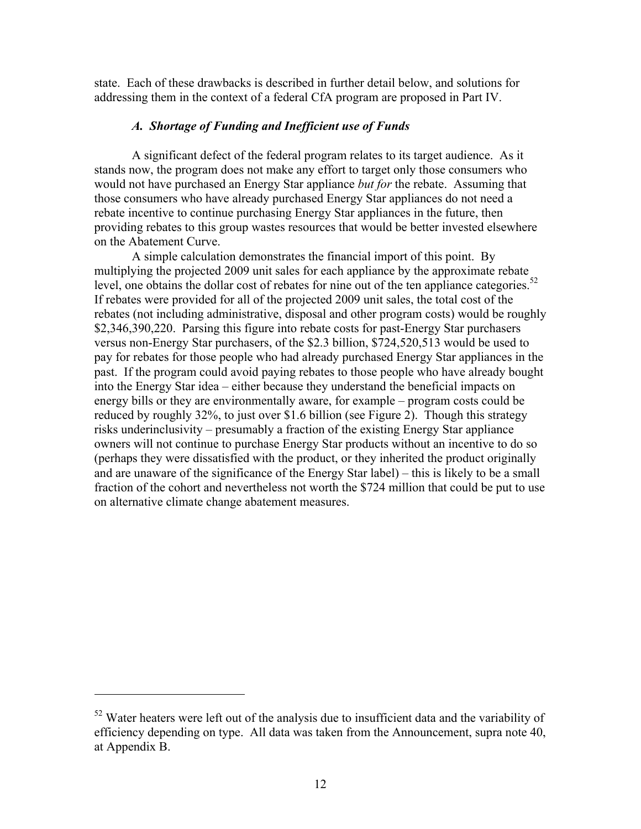state. Each of these drawbacks is described in further detail below, and solutions for addressing them in the context of a federal CfA program are proposed in Part IV.

## *A. Shortage of Funding and Inefficient use of Funds*

A significant defect of the federal program relates to its target audience. As it stands now, the program does not make any effort to target only those consumers who would not have purchased an Energy Star appliance *but for* the rebate. Assuming that those consumers who have already purchased Energy Star appliances do not need a rebate incentive to continue purchasing Energy Star appliances in the future, then providing rebates to this group wastes resources that would be better invested elsewhere on the Abatement Curve.

A simple calculation demonstrates the financial import of this point. By multiplying the projected 2009 unit sales for each appliance by the approximate rebate level, one obtains the dollar cost of rebates for nine out of the ten appliance categories.<sup>52</sup> If rebates were provided for all of the projected 2009 unit sales, the total cost of the rebates (not including administrative, disposal and other program costs) would be roughly \$2,346,390,220. Parsing this figure into rebate costs for past-Energy Star purchasers versus non-Energy Star purchasers, of the \$2.3 billion, \$724,520,513 would be used to pay for rebates for those people who had already purchased Energy Star appliances in the past. If the program could avoid paying rebates to those people who have already bought into the Energy Star idea – either because they understand the beneficial impacts on energy bills or they are environmentally aware, for example – program costs could be reduced by roughly 32%, to just over \$1.6 billion (see Figure 2). Though this strategy risks underinclusivity – presumably a fraction of the existing Energy Star appliance owners will not continue to purchase Energy Star products without an incentive to do so (perhaps they were dissatisfied with the product, or they inherited the product originally and are unaware of the significance of the Energy Star label) – this is likely to be a small fraction of the cohort and nevertheless not worth the \$724 million that could be put to use on alternative climate change abatement measures.

<sup>&</sup>lt;sup>52</sup> Water heaters were left out of the analysis due to insufficient data and the variability of efficiency depending on type. All data was taken from the Announcement, supra note 40, at Appendix B.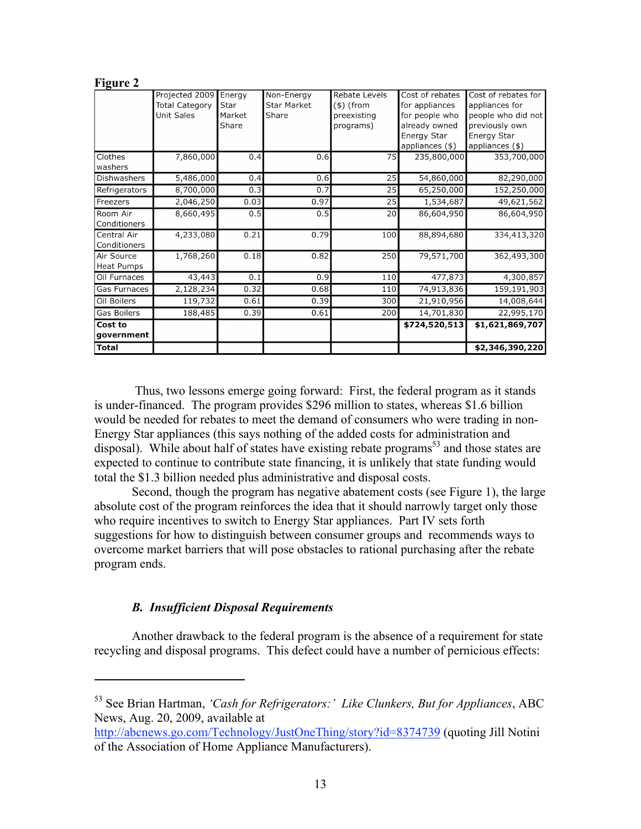|                                 | Projected 2009<br><b>Total Category</b><br><b>Unit Sales</b> | Energy<br>Star<br>Market<br>Share | Non-Energy<br><b>Star Market</b><br>Share | Rebate Levels<br>(\$) (from<br>preexisting<br>programs) | Cost of rebates<br>for appliances<br>for people who<br>already owned<br>Energy Star<br>appliances (\$) | Cost of rebates for<br>appliances for<br>people who did not<br>previously own<br>Energy Star<br>appliances $(\$)$ |
|---------------------------------|--------------------------------------------------------------|-----------------------------------|-------------------------------------------|---------------------------------------------------------|--------------------------------------------------------------------------------------------------------|-------------------------------------------------------------------------------------------------------------------|
| Clothes<br>washers              | 7,860,000                                                    | 0.4                               | 0.6                                       | 75                                                      | 235,800,000                                                                                            | 353,700,000                                                                                                       |
| Dishwashers                     | 5,486,000                                                    | 0.4                               | 0.6                                       | 25                                                      | 54,860,000                                                                                             | 82,290,000                                                                                                        |
| Refrigerators                   | 8,700,000                                                    | 0.3                               | 0.7                                       | 25                                                      | 65,250,000                                                                                             | 152,250,000                                                                                                       |
| Freezers                        | 2,046,250                                                    | 0.03                              | 0.97                                      | 25                                                      | 1,534,687                                                                                              | 49,621,562                                                                                                        |
| Room Air<br>Conditioners        | 8,660,495                                                    | 0.5                               | 0.5                                       | 20                                                      | 86,604,950                                                                                             | 86,604,950                                                                                                        |
| Central Air<br>Conditioners     | 4,233,080                                                    | 0.21                              | 0.79                                      | 100                                                     | 88,894,680                                                                                             | 334,413,320                                                                                                       |
| Air Source<br><b>Heat Pumps</b> | 1,768,260                                                    | 0.18                              | 0.82                                      | 250                                                     | 79,571,700                                                                                             | 362,493,300                                                                                                       |
| Oil Furnaces                    | 43,443                                                       | 0.1                               | 0.9                                       | 110                                                     | 477,873                                                                                                | 4,300,857                                                                                                         |
| Gas Furnaces                    | 2,128,234                                                    | 0.32                              | 0.68                                      | 110                                                     | 74,913,836                                                                                             | 159,191,903                                                                                                       |
| Oil Boilers                     | 119,732                                                      | 0.61                              | 0.39                                      | 300                                                     | 21,910,956                                                                                             | 14,008,644                                                                                                        |
| <b>Gas Boilers</b>              | 188,485                                                      | 0.39                              | 0.61                                      | 200                                                     | 14,701,830                                                                                             | 22,995,170                                                                                                        |
| Cost to<br>government           |                                                              |                                   |                                           |                                                         | \$724,520,513                                                                                          | \$1,621,869,707                                                                                                   |
| <b>Total</b>                    |                                                              |                                   |                                           |                                                         |                                                                                                        | \$2,346,390,220                                                                                                   |

 Thus, two lessons emerge going forward: First, the federal program as it stands is under-financed. The program provides \$296 million to states, whereas \$1.6 billion would be needed for rebates to meet the demand of consumers who were trading in non-Energy Star appliances (this says nothing of the added costs for administration and disposal). While about half of states have existing rebate programs<sup>53</sup> and those states are expected to continue to contribute state financing, it is unlikely that state funding would total the \$1.3 billion needed plus administrative and disposal costs.

Second, though the program has negative abatement costs (see Figure 1), the large absolute cost of the program reinforces the idea that it should narrowly target only those who require incentives to switch to Energy Star appliances. Part IV sets forth suggestions for how to distinguish between consumer groups and recommends ways to overcome market barriers that will pose obstacles to rational purchasing after the rebate program ends.

## *B. Insufficient Disposal Requirements*

**Figure 2**

 $\overline{a}$ 

Another drawback to the federal program is the absence of a requirement for state recycling and disposal programs. This defect could have a number of pernicious effects:

<sup>53</sup> See Brian Hartman, *'Cash for Refrigerators:' Like Clunkers, But for Appliances*, ABC News, Aug. 20, 2009, available at

http://abcnews.go.com/Technology/JustOneThing/story?id=8374739 (quoting Jill Notini of the Association of Home Appliance Manufacturers).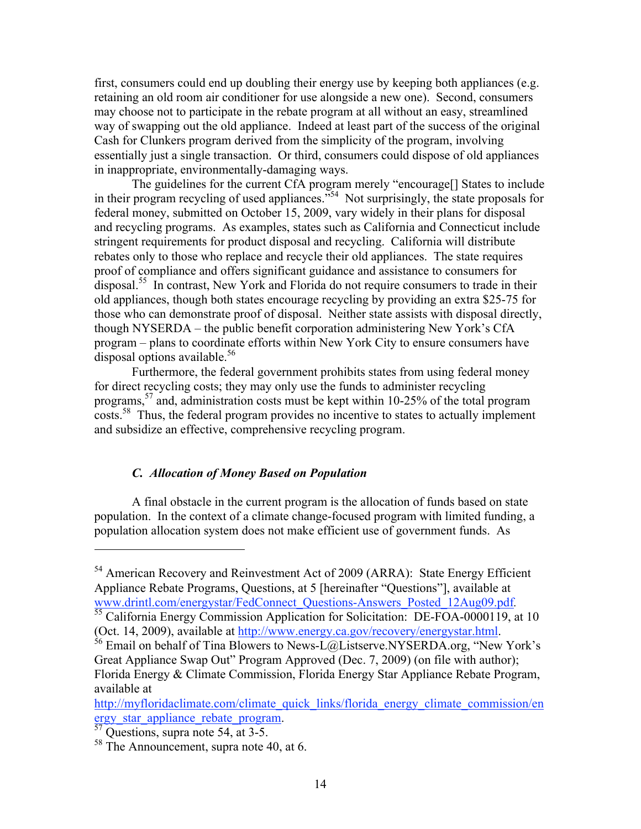first, consumers could end up doubling their energy use by keeping both appliances (e.g. retaining an old room air conditioner for use alongside a new one). Second, consumers may choose not to participate in the rebate program at all without an easy, streamlined way of swapping out the old appliance. Indeed at least part of the success of the original Cash for Clunkers program derived from the simplicity of the program, involving essentially just a single transaction. Or third, consumers could dispose of old appliances in inappropriate, environmentally-damaging ways.

The guidelines for the current CfA program merely "encourage[] States to include in their program recycling of used appliances."54 Not surprisingly, the state proposals for federal money, submitted on October 15, 2009, vary widely in their plans for disposal and recycling programs. As examples, states such as California and Connecticut include stringent requirements for product disposal and recycling. California will distribute rebates only to those who replace and recycle their old appliances. The state requires proof of compliance and offers significant guidance and assistance to consumers for disposal.55 In contrast, New York and Florida do not require consumers to trade in their old appliances, though both states encourage recycling by providing an extra \$25-75 for those who can demonstrate proof of disposal. Neither state assists with disposal directly, though NYSERDA – the public benefit corporation administering New York's CfA program – plans to coordinate efforts within New York City to ensure consumers have disposal options available.<sup>56</sup>

Furthermore, the federal government prohibits states from using federal money for direct recycling costs; they may only use the funds to administer recycling programs,57 and, administration costs must be kept within 10-25% of the total program costs.<sup>58</sup> Thus, the federal program provides no incentive to states to actually implement and subsidize an effective, comprehensive recycling program.

## *C. Allocation of Money Based on Population*

A final obstacle in the current program is the allocation of funds based on state population. In the context of a climate change-focused program with limited funding, a population allocation system does not make efficient use of government funds. As

 $<sup>54</sup>$  American Recovery and Reinvestment Act of 2009 (ARRA): State Energy Efficient</sup> Appliance Rebate Programs, Questions, at 5 [hereinafter "Questions"], available at www.drintl.com/energystar/FedConnect\_Questions-Answers\_Posted\_12Aug09.pdf.<br><sup>55</sup> California Energy Commission Application for Solicitation: DE-FOA-0000119, at 10

<sup>(</sup>Oct. 14, 2009), available at http://www.energy.ca.gov/recovery/energystar.html.<br><sup>56</sup> Email on behalf of Tina Blowers to News-L@Listserve.NYSERDA.org, "New York's

Great Appliance Swap Out" Program Approved (Dec. 7, 2009) (on file with author); Florida Energy & Climate Commission, Florida Energy Star Appliance Rebate Program, available at

http://myfloridaclimate.com/climate\_quick\_links/florida\_energy\_climate\_commission/en ergy\_star\_appliance\_rebate\_program.<br>
<sup>57</sup> Questions, supra note 54, at 3-5.

<sup>&</sup>lt;sup>58</sup> The Announcement, supra note 40, at 6.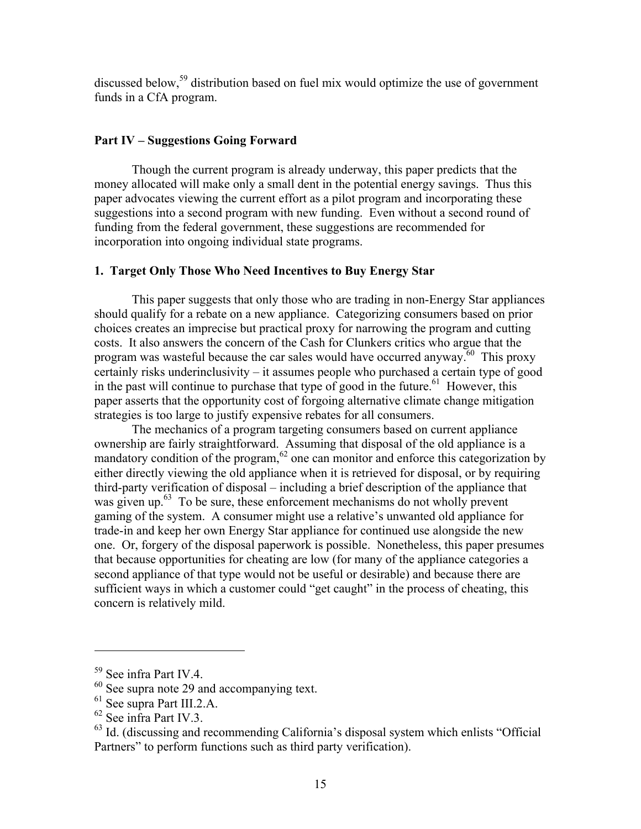discussed below,<sup>59</sup> distribution based on fuel mix would optimize the use of government funds in a CfA program.

## **Part IV – Suggestions Going Forward**

Though the current program is already underway, this paper predicts that the money allocated will make only a small dent in the potential energy savings. Thus this paper advocates viewing the current effort as a pilot program and incorporating these suggestions into a second program with new funding. Even without a second round of funding from the federal government, these suggestions are recommended for incorporation into ongoing individual state programs.

## **1. Target Only Those Who Need Incentives to Buy Energy Star**

This paper suggests that only those who are trading in non-Energy Star appliances should qualify for a rebate on a new appliance. Categorizing consumers based on prior choices creates an imprecise but practical proxy for narrowing the program and cutting costs. It also answers the concern of the Cash for Clunkers critics who argue that the program was wasteful because the car sales would have occurred anyway.<sup>60</sup> This proxy certainly risks underinclusivity – it assumes people who purchased a certain type of good in the past will continue to purchase that type of good in the future.<sup>61</sup> However, this paper asserts that the opportunity cost of forgoing alternative climate change mitigation strategies is too large to justify expensive rebates for all consumers.

The mechanics of a program targeting consumers based on current appliance ownership are fairly straightforward. Assuming that disposal of the old appliance is a mandatory condition of the program, $62$  one can monitor and enforce this categorization by either directly viewing the old appliance when it is retrieved for disposal, or by requiring third-party verification of disposal – including a brief description of the appliance that was given up.<sup>63</sup> To be sure, these enforcement mechanisms do not wholly prevent gaming of the system. A consumer might use a relative's unwanted old appliance for trade-in and keep her own Energy Star appliance for continued use alongside the new one. Or, forgery of the disposal paperwork is possible. Nonetheless, this paper presumes that because opportunities for cheating are low (for many of the appliance categories a second appliance of that type would not be useful or desirable) and because there are sufficient ways in which a customer could "get caught" in the process of cheating, this concern is relatively mild.

<sup>59</sup> See infra Part IV.4.

 $60$  See supra note 29 and accompanying text.

 $^{61}$  See supra Part III.2.A.<br> $^{62}$  See infra Part IV.3.

 $^{63}$  Id. (discussing and recommending California's disposal system which enlists "Official Partners" to perform functions such as third party verification).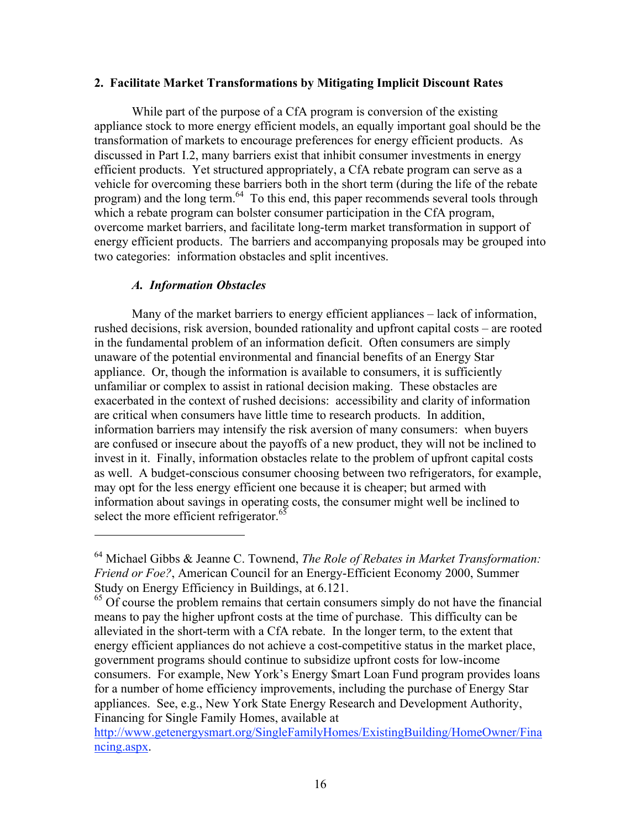#### **2. Facilitate Market Transformations by Mitigating Implicit Discount Rates**

While part of the purpose of a CfA program is conversion of the existing appliance stock to more energy efficient models, an equally important goal should be the transformation of markets to encourage preferences for energy efficient products. As discussed in Part I.2, many barriers exist that inhibit consumer investments in energy efficient products. Yet structured appropriately, a CfA rebate program can serve as a vehicle for overcoming these barriers both in the short term (during the life of the rebate program) and the long term.<sup>64</sup> To this end, this paper recommends several tools through which a rebate program can bolster consumer participation in the CfA program, overcome market barriers, and facilitate long-term market transformation in support of energy efficient products. The barriers and accompanying proposals may be grouped into two categories: information obstacles and split incentives.

## *A. Information Obstacles*

 $\overline{a}$ 

Many of the market barriers to energy efficient appliances – lack of information, rushed decisions, risk aversion, bounded rationality and upfront capital costs – are rooted in the fundamental problem of an information deficit. Often consumers are simply unaware of the potential environmental and financial benefits of an Energy Star appliance. Or, though the information is available to consumers, it is sufficiently unfamiliar or complex to assist in rational decision making. These obstacles are exacerbated in the context of rushed decisions: accessibility and clarity of information are critical when consumers have little time to research products. In addition, information barriers may intensify the risk aversion of many consumers: when buyers are confused or insecure about the payoffs of a new product, they will not be inclined to invest in it. Finally, information obstacles relate to the problem of upfront capital costs as well. A budget-conscious consumer choosing between two refrigerators, for example, may opt for the less energy efficient one because it is cheaper; but armed with information about savings in operating costs, the consumer might well be inclined to select the more efficient refrigerator.<sup>65</sup>

<sup>64</sup> Michael Gibbs & Jeanne C. Townend, *The Role of Rebates in Market Transformation: Friend or Foe?*, American Council for an Energy-Efficient Economy 2000, Summer Study on Energy Efficiency in Buildings, at 6.121.

<sup>&</sup>lt;sup>65</sup> Of course the problem remains that certain consumers simply do not have the financial means to pay the higher upfront costs at the time of purchase. This difficulty can be alleviated in the short-term with a CfA rebate. In the longer term, to the extent that energy efficient appliances do not achieve a cost-competitive status in the market place, government programs should continue to subsidize upfront costs for low-income consumers. For example, New York's Energy \$mart Loan Fund program provides loans for a number of home efficiency improvements, including the purchase of Energy Star appliances. See, e.g., New York State Energy Research and Development Authority, Financing for Single Family Homes, available at

http://www.getenergysmart.org/SingleFamilyHomes/ExistingBuilding/HomeOwner/Fina ncing.aspx.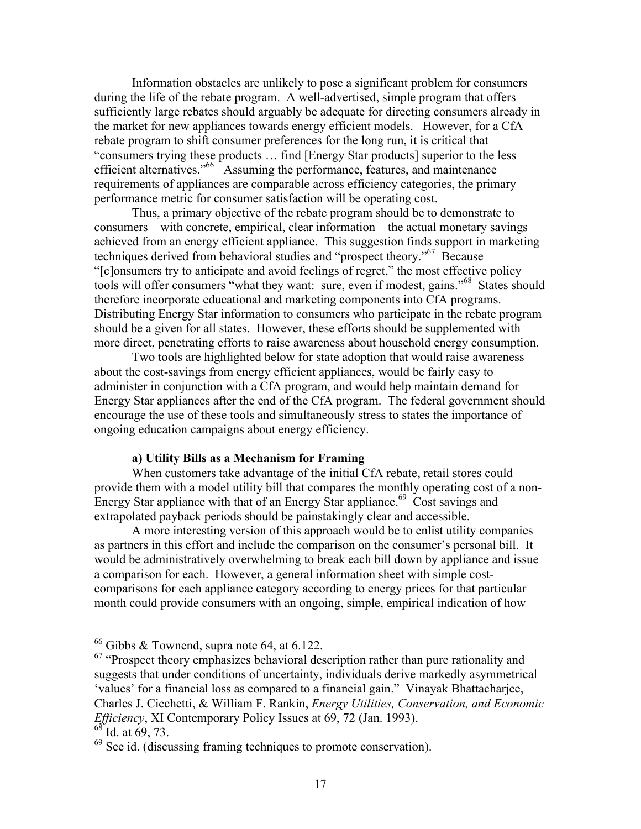Information obstacles are unlikely to pose a significant problem for consumers during the life of the rebate program. A well-advertised, simple program that offers sufficiently large rebates should arguably be adequate for directing consumers already in the market for new appliances towards energy efficient models. However, for a CfA rebate program to shift consumer preferences for the long run, it is critical that "consumers trying these products … find [Energy Star products] superior to the less efficient alternatives."<sup>66</sup> Assuming the performance, features, and maintenance requirements of appliances are comparable across efficiency categories, the primary performance metric for consumer satisfaction will be operating cost.

Thus, a primary objective of the rebate program should be to demonstrate to consumers – with concrete, empirical, clear information – the actual monetary savings achieved from an energy efficient appliance. This suggestion finds support in marketing techniques derived from behavioral studies and "prospect theory."67 Because "[c]onsumers try to anticipate and avoid feelings of regret," the most effective policy tools will offer consumers "what they want: sure, even if modest, gains."<sup>68</sup> States should therefore incorporate educational and marketing components into CfA programs. Distributing Energy Star information to consumers who participate in the rebate program should be a given for all states. However, these efforts should be supplemented with more direct, penetrating efforts to raise awareness about household energy consumption.

Two tools are highlighted below for state adoption that would raise awareness about the cost-savings from energy efficient appliances, would be fairly easy to administer in conjunction with a CfA program, and would help maintain demand for Energy Star appliances after the end of the CfA program. The federal government should encourage the use of these tools and simultaneously stress to states the importance of ongoing education campaigns about energy efficiency.

#### **a) Utility Bills as a Mechanism for Framing**

When customers take advantage of the initial CfA rebate, retail stores could provide them with a model utility bill that compares the monthly operating cost of a non-Energy Star appliance with that of an Energy Star appliance.<sup>69</sup> Cost savings and extrapolated payback periods should be painstakingly clear and accessible.

A more interesting version of this approach would be to enlist utility companies as partners in this effort and include the comparison on the consumer's personal bill. It would be administratively overwhelming to break each bill down by appliance and issue a comparison for each. However, a general information sheet with simple costcomparisons for each appliance category according to energy prices for that particular month could provide consumers with an ongoing, simple, empirical indication of how

 $66$  Gibbs & Townend, supra note 64, at 6.122.

 $67$  "Prospect theory emphasizes behavioral description rather than pure rationality and suggests that under conditions of uncertainty, individuals derive markedly asymmetrical 'values' for a financial loss as compared to a financial gain." Vinayak Bhattacharjee, Charles J. Cicchetti, & William F. Rankin, *Energy Utilities, Conservation, and Economic Efficiency*, XI Contemporary Policy Issues at 69, 72 (Jan. 1993).

 $68^{\circ}$  Id. at 69, 73.

 $^{69}$  See id. (discussing framing techniques to promote conservation).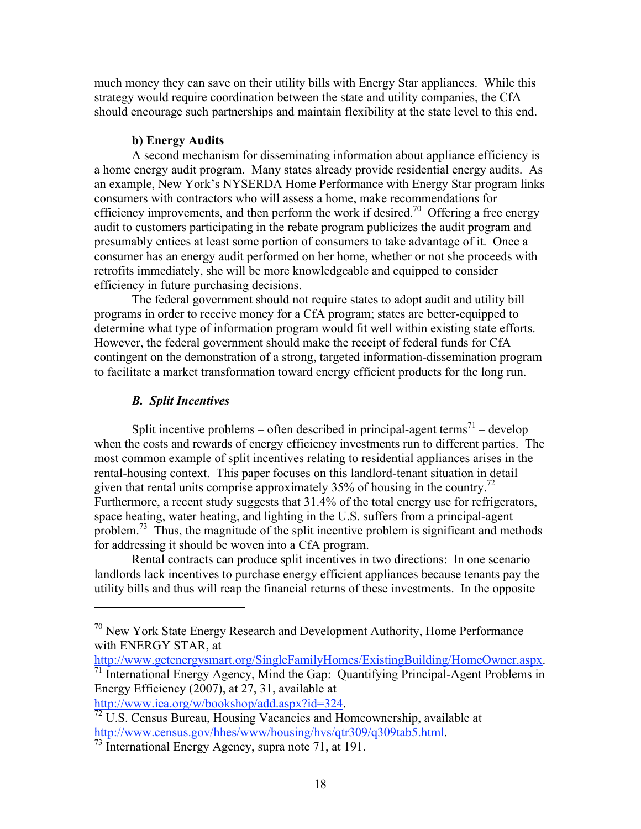much money they can save on their utility bills with Energy Star appliances. While this strategy would require coordination between the state and utility companies, the CfA should encourage such partnerships and maintain flexibility at the state level to this end.

#### **b) Energy Audits**

A second mechanism for disseminating information about appliance efficiency is a home energy audit program. Many states already provide residential energy audits. As an example, New York's NYSERDA Home Performance with Energy Star program links consumers with contractors who will assess a home, make recommendations for efficiency improvements, and then perform the work if desired.<sup>70</sup> Offering a free energy audit to customers participating in the rebate program publicizes the audit program and presumably entices at least some portion of consumers to take advantage of it. Once a consumer has an energy audit performed on her home, whether or not she proceeds with retrofits immediately, she will be more knowledgeable and equipped to consider efficiency in future purchasing decisions.

The federal government should not require states to adopt audit and utility bill programs in order to receive money for a CfA program; states are better-equipped to determine what type of information program would fit well within existing state efforts. However, the federal government should make the receipt of federal funds for CfA contingent on the demonstration of a strong, targeted information-dissemination program to facilitate a market transformation toward energy efficient products for the long run.

#### *B.**Split Incentives*

 $\overline{a}$ 

Split incentive problems – often described in principal-agent terms<sup>71</sup> – develop when the costs and rewards of energy efficiency investments run to different parties. The most common example of split incentives relating to residential appliances arises in the rental-housing context. This paper focuses on this landlord-tenant situation in detail given that rental units comprise approximately 35% of housing in the country.<sup>72</sup> Furthermore, a recent study suggests that 31.4% of the total energy use for refrigerators, space heating, water heating, and lighting in the U.S. suffers from a principal-agent problem.<sup>73</sup> Thus, the magnitude of the split incentive problem is significant and methods for addressing it should be woven into a CfA program.

Rental contracts can produce split incentives in two directions: In one scenario landlords lack incentives to purchase energy efficient appliances because tenants pay the utility bills and thus will reap the financial returns of these investments. In the opposite

<sup>70</sup> New York State Energy Research and Development Authority, Home Performance with ENERGY STAR, at<br>http://www.getenergysmart.org/SingleFamilyHomes/ExistingBuilding/HomeOwner.aspx.

 $\frac{1}{11}$  International Energy Agency, Mind the Gap: Quantifying Principal-Agent Problems in Energy Efficiency (2007), at 27, 31, available at

http://www.iea.org/w/bookshop/add.aspx?id=324.<br><sup>72</sup> U.S. Census Bureau, Housing Vacancies and Homeownership, available at http://www.census.gov/hhes/www/housing/hvs/qtr309/q309tab5.html.<br><sup>73</sup> International Energy Agency, supra note 71, at 191.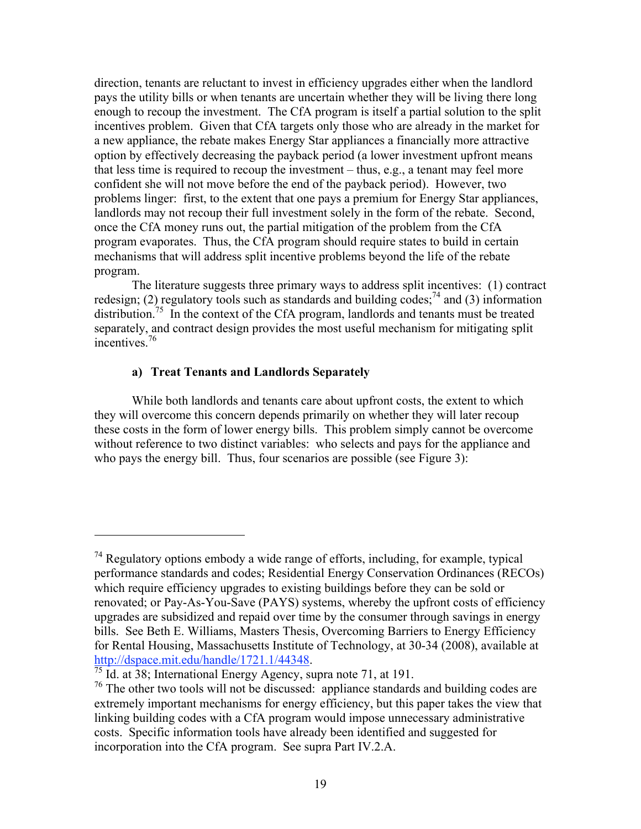direction, tenants are reluctant to invest in efficiency upgrades either when the landlord pays the utility bills or when tenants are uncertain whether they will be living there long enough to recoup the investment. The CfA program is itself a partial solution to the split incentives problem. Given that CfA targets only those who are already in the market for a new appliance, the rebate makes Energy Star appliances a financially more attractive option by effectively decreasing the payback period (a lower investment upfront means that less time is required to recoup the investment – thus, e.g., a tenant may feel more confident she will not move before the end of the payback period). However, two problems linger: first, to the extent that one pays a premium for Energy Star appliances, landlords may not recoup their full investment solely in the form of the rebate. Second, once the CfA money runs out, the partial mitigation of the problem from the CfA program evaporates. Thus, the CfA program should require states to build in certain mechanisms that will address split incentive problems beyond the life of the rebate program.

The literature suggests three primary ways to address split incentives: (1) contract redesign; (2) regulatory tools such as standards and building codes;<sup>74</sup> and (3) information distribution.<sup>75</sup> In the context of the CfA program, landlords and tenants must be treated separately, and contract design provides the most useful mechanism for mitigating split incentives<sup>76</sup>

## **a) Treat Tenants and Landlords Separately**

While both landlords and tenants care about upfront costs, the extent to which they will overcome this concern depends primarily on whether they will later recoup these costs in the form of lower energy bills. This problem simply cannot be overcome without reference to two distinct variables: who selects and pays for the appliance and who pays the energy bill. Thus, four scenarios are possible (see Figure 3):

 $74$  Regulatory options embody a wide range of efforts, including, for example, typical performance standards and codes; Residential Energy Conservation Ordinances (RECOs) which require efficiency upgrades to existing buildings before they can be sold or renovated; or Pay-As-You-Save (PAYS) systems, whereby the upfront costs of efficiency upgrades are subsidized and repaid over time by the consumer through savings in energy bills. See Beth E. Williams, Masters Thesis, Overcoming Barriers to Energy Efficiency for Rental Housing, Massachusetts Institute of Technology, at 30-34 (2008), available at http://dspace.mit.edu/handle/1721.1/44348.<br><sup>75</sup> Id. at 38; International Energy Agency, supra note 71, at 191.

<sup>&</sup>lt;sup>76</sup> The other two tools will not be discussed: appliance standards and building codes are extremely important mechanisms for energy efficiency, but this paper takes the view that linking building codes with a CfA program would impose unnecessary administrative costs. Specific information tools have already been identified and suggested for incorporation into the CfA program. See supra Part IV.2.A.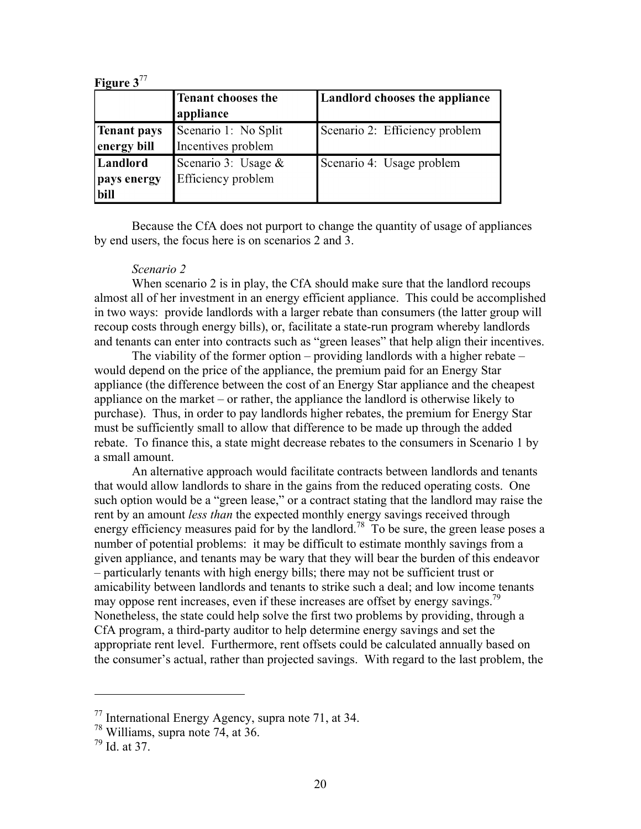| Figure $3^{77}$    |                      |                                       |
|--------------------|----------------------|---------------------------------------|
|                    | Tenant chooses the   | <b>Landlord chooses the appliance</b> |
|                    | appliance            |                                       |
| <b>Tenant pays</b> | Scenario 1: No Split | Scenario 2: Efficiency problem        |
| energy bill        | Incentives problem   |                                       |
| Landlord           | Scenario 3: Usage &  | Scenario 4: Usage problem             |
| pays energy        | Efficiency problem   |                                       |
| bill               |                      |                                       |

Because the CfA does not purport to change the quantity of usage of appliances by end users, the focus here is on scenarios 2 and 3.

#### *Scenario 2*

When scenario 2 is in play, the CfA should make sure that the landlord recoups almost all of her investment in an energy efficient appliance. This could be accomplished in two ways: provide landlords with a larger rebate than consumers (the latter group will recoup costs through energy bills), or, facilitate a state-run program whereby landlords and tenants can enter into contracts such as "green leases" that help align their incentives.

The viability of the former option – providing landlords with a higher rebate – would depend on the price of the appliance, the premium paid for an Energy Star appliance (the difference between the cost of an Energy Star appliance and the cheapest appliance on the market – or rather, the appliance the landlord is otherwise likely to purchase). Thus, in order to pay landlords higher rebates, the premium for Energy Star must be sufficiently small to allow that difference to be made up through the added rebate. To finance this, a state might decrease rebates to the consumers in Scenario 1 by a small amount.

An alternative approach would facilitate contracts between landlords and tenants that would allow landlords to share in the gains from the reduced operating costs. One such option would be a "green lease," or a contract stating that the landlord may raise the rent by an amount *less than* the expected monthly energy savings received through energy efficiency measures paid for by the landlord.<sup>78</sup> To be sure, the green lease poses a number of potential problems: it may be difficult to estimate monthly savings from a given appliance, and tenants may be wary that they will bear the burden of this endeavor – particularly tenants with high energy bills; there may not be sufficient trust or amicability between landlords and tenants to strike such a deal; and low income tenants may oppose rent increases, even if these increases are offset by energy savings.<sup>79</sup> Nonetheless, the state could help solve the first two problems by providing, through a CfA program, a third-party auditor to help determine energy savings and set the appropriate rent level. Furthermore, rent offsets could be calculated annually based on the consumer's actual, rather than projected savings. With regard to the last problem, the

 $77$  International Energy Agency, supra note 71, at 34.

<sup>78</sup> Williams, supra note 74, at 36.

 $79$  Id. at 37.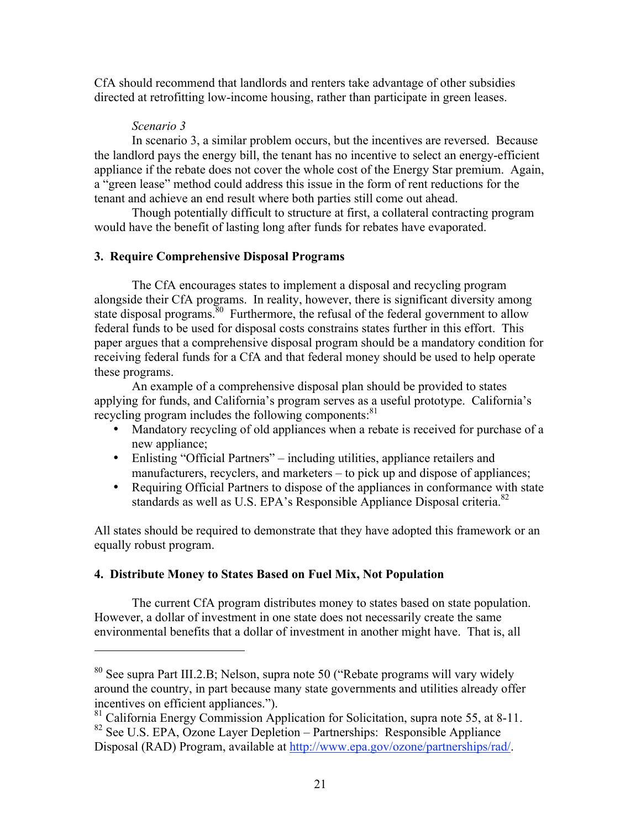CfA should recommend that landlords and renters take advantage of other subsidies directed at retrofitting low-income housing, rather than participate in green leases.

#### *Scenario 3*

 $\overline{a}$ 

In scenario 3, a similar problem occurs, but the incentives are reversed. Because the landlord pays the energy bill, the tenant has no incentive to select an energy-efficient appliance if the rebate does not cover the whole cost of the Energy Star premium. Again, a "green lease" method could address this issue in the form of rent reductions for the tenant and achieve an end result where both parties still come out ahead.

Though potentially difficult to structure at first, a collateral contracting program would have the benefit of lasting long after funds for rebates have evaporated.

#### **3. Require Comprehensive Disposal Programs**

The CfA encourages states to implement a disposal and recycling program alongside their CfA programs. In reality, however, there is significant diversity among state disposal programs.<sup>80</sup> Furthermore, the refusal of the federal government to allow federal funds to be used for disposal costs constrains states further in this effort. This paper argues that a comprehensive disposal program should be a mandatory condition for receiving federal funds for a CfA and that federal money should be used to help operate these programs.

An example of a comprehensive disposal plan should be provided to states applying for funds, and California's program serves as a useful prototype. California's recycling program includes the following components:<sup>81</sup>

- Mandatory recycling of old appliances when a rebate is received for purchase of a new appliance;
- Enlisting "Official Partners" including utilities, appliance retailers and manufacturers, recyclers, and marketers – to pick up and dispose of appliances;
- Requiring Official Partners to dispose of the appliances in conformance with state standards as well as U.S. EPA's Responsible Appliance Disposal criteria.<sup>82</sup>

All states should be required to demonstrate that they have adopted this framework or an equally robust program.

#### **4. Distribute Money to States Based on Fuel Mix, Not Population**

The current CfA program distributes money to states based on state population. However, a dollar of investment in one state does not necessarily create the same environmental benefits that a dollar of investment in another might have. That is, all

<sup>80</sup> See supra Part III.2.B; Nelson, supra note 50 ("Rebate programs will vary widely around the country, in part because many state governments and utilities already offer incentives on efficient appliances.").

<sup>&</sup>lt;sup>81</sup> California Energy Commission Application for Solicitation, supra note 55, at 8-11.  $82$  See U.S. EPA, Ozone Layer Depletion – Partnerships: Responsible Appliance

Disposal (RAD) Program, available at http://www.epa.gov/ozone/partnerships/rad/.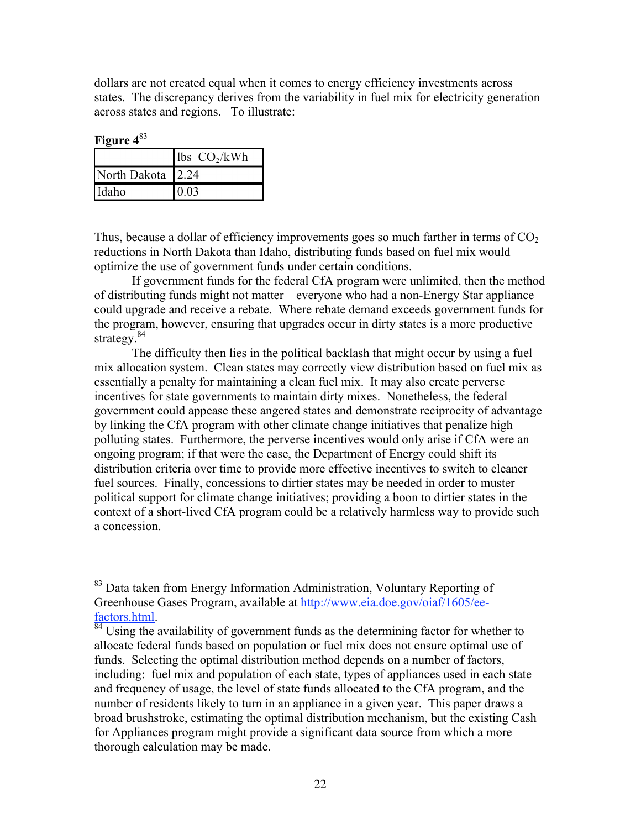dollars are not created equal when it comes to energy efficiency investments across states. The discrepancy derives from the variability in fuel mix for electricity generation across states and regions. To illustrate:

**Figure 4**<sup>83</sup>

 $\overline{a}$ 

|                   | $\vert$ lbs CO <sub>2</sub> /kWh |
|-------------------|----------------------------------|
| North Dakota 2.24 |                                  |
| Idaho             | 0.03                             |

Thus, because a dollar of efficiency improvements goes so much farther in terms of  $CO<sub>2</sub>$ reductions in North Dakota than Idaho, distributing funds based on fuel mix would optimize the use of government funds under certain conditions.

If government funds for the federal CfA program were unlimited, then the method of distributing funds might not matter – everyone who had a non-Energy Star appliance could upgrade and receive a rebate. Where rebate demand exceeds government funds for the program, however, ensuring that upgrades occur in dirty states is a more productive strategy. $84$ 

The difficulty then lies in the political backlash that might occur by using a fuel mix allocation system. Clean states may correctly view distribution based on fuel mix as essentially a penalty for maintaining a clean fuel mix. It may also create perverse incentives for state governments to maintain dirty mixes. Nonetheless, the federal government could appease these angered states and demonstrate reciprocity of advantage by linking the CfA program with other climate change initiatives that penalize high polluting states. Furthermore, the perverse incentives would only arise if CfA were an ongoing program; if that were the case, the Department of Energy could shift its distribution criteria over time to provide more effective incentives to switch to cleaner fuel sources. Finally, concessions to dirtier states may be needed in order to muster political support for climate change initiatives; providing a boon to dirtier states in the context of a short-lived CfA program could be a relatively harmless way to provide such a concession.

<sup>&</sup>lt;sup>83</sup> Data taken from Energy Information Administration, Voluntary Reporting of Greenhouse Gases Program, available at http://www.eia.doe.gov/oiaf/1605/eefactors.html.<br><sup>84</sup> Using the availability of government funds as the determining factor for whether to

allocate federal funds based on population or fuel mix does not ensure optimal use of funds. Selecting the optimal distribution method depends on a number of factors, including: fuel mix and population of each state, types of appliances used in each state and frequency of usage, the level of state funds allocated to the CfA program, and the number of residents likely to turn in an appliance in a given year. This paper draws a broad brushstroke, estimating the optimal distribution mechanism, but the existing Cash for Appliances program might provide a significant data source from which a more thorough calculation may be made.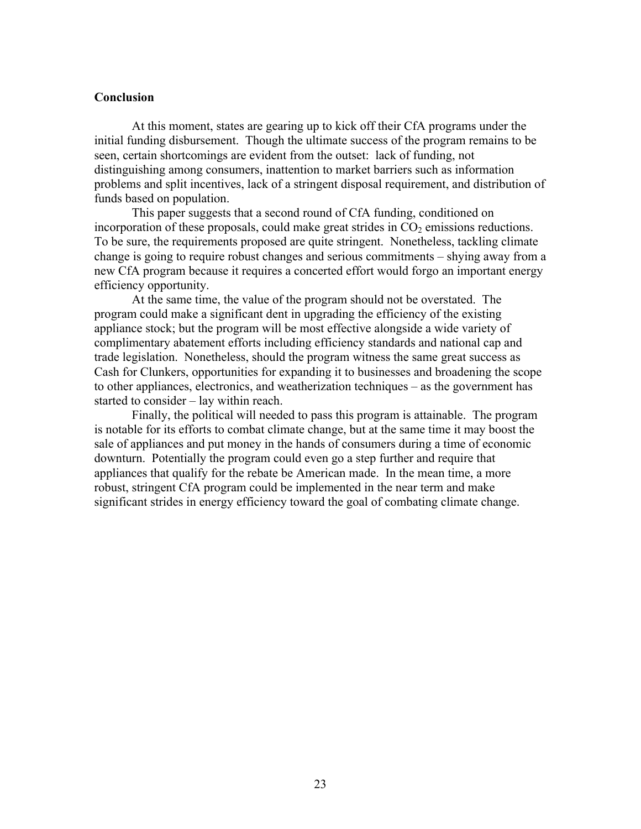#### **Conclusion**

At this moment, states are gearing up to kick off their CfA programs under the initial funding disbursement. Though the ultimate success of the program remains to be seen, certain shortcomings are evident from the outset: lack of funding, not distinguishing among consumers, inattention to market barriers such as information problems and split incentives, lack of a stringent disposal requirement, and distribution of funds based on population.

This paper suggests that a second round of CfA funding, conditioned on incorporation of these proposals, could make great strides in  $CO<sub>2</sub>$  emissions reductions. To be sure, the requirements proposed are quite stringent. Nonetheless, tackling climate change is going to require robust changes and serious commitments – shying away from a new CfA program because it requires a concerted effort would forgo an important energy efficiency opportunity.

At the same time, the value of the program should not be overstated. The program could make a significant dent in upgrading the efficiency of the existing appliance stock; but the program will be most effective alongside a wide variety of complimentary abatement efforts including efficiency standards and national cap and trade legislation. Nonetheless, should the program witness the same great success as Cash for Clunkers, opportunities for expanding it to businesses and broadening the scope to other appliances, electronics, and weatherization techniques – as the government has started to consider – lay within reach.

Finally, the political will needed to pass this program is attainable. The program is notable for its efforts to combat climate change, but at the same time it may boost the sale of appliances and put money in the hands of consumers during a time of economic downturn. Potentially the program could even go a step further and require that appliances that qualify for the rebate be American made. In the mean time, a more robust, stringent CfA program could be implemented in the near term and make significant strides in energy efficiency toward the goal of combating climate change.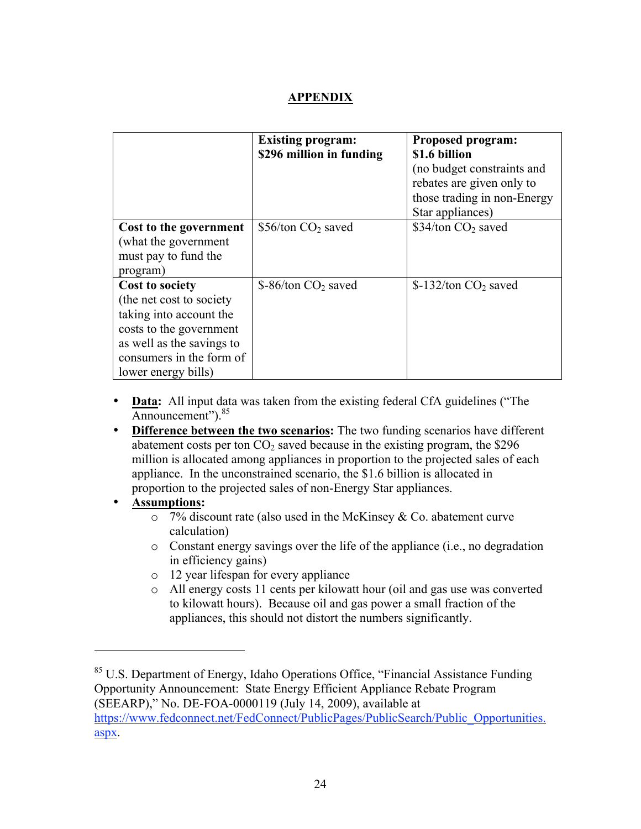## **APPENDIX**

|                                                                                                                                                                                           | <b>Existing program:</b><br>\$296 million in funding | <b>Proposed program:</b><br>\$1.6 billion<br>(no budget constraints and<br>rebates are given only to<br>those trading in non-Energy<br>Star appliances) |
|-------------------------------------------------------------------------------------------------------------------------------------------------------------------------------------------|------------------------------------------------------|---------------------------------------------------------------------------------------------------------------------------------------------------------|
| Cost to the government<br>(what the government<br>must pay to fund the<br>program)                                                                                                        | \$56/ton CO <sub>2</sub> saved                       | \$34/ton CO <sub>2</sub> saved                                                                                                                          |
| <b>Cost to society</b><br>(the net cost to society)<br>taking into account the<br>costs to the government<br>as well as the savings to<br>consumers in the form of<br>lower energy bills) | \$-86/ton CO <sub>2</sub> saved                      | $$-132/ton CO2 saved$                                                                                                                                   |

- **Data:** All input data was taken from the existing federal CfA guidelines ("The Announcement").<sup>85</sup>
- **Difference between the two scenarios:** The two funding scenarios have different abatement costs per ton  $CO<sub>2</sub>$  saved because in the existing program, the \$296 million is allocated among appliances in proportion to the projected sales of each appliance. In the unconstrained scenario, the \$1.6 billion is allocated in proportion to the projected sales of non-Energy Star appliances.
- **Assumptions:**

- $\circ$  7% discount rate (also used in the McKinsey & Co. abatement curve calculation)
- o Constant energy savings over the life of the appliance (i.e., no degradation in efficiency gains)
- o 12 year lifespan for every appliance
- o All energy costs 11 cents per kilowatt hour (oil and gas use was converted to kilowatt hours). Because oil and gas power a small fraction of the appliances, this should not distort the numbers significantly.

<sup>&</sup>lt;sup>85</sup> U.S. Department of Energy, Idaho Operations Office, "Financial Assistance Funding Opportunity Announcement: State Energy Efficient Appliance Rebate Program (SEEARP)," No. DE-FOA-0000119 (July 14, 2009), available at https://www.fedconnect.net/FedConnect/PublicPages/PublicSearch/Public\_Opportunities. aspx.